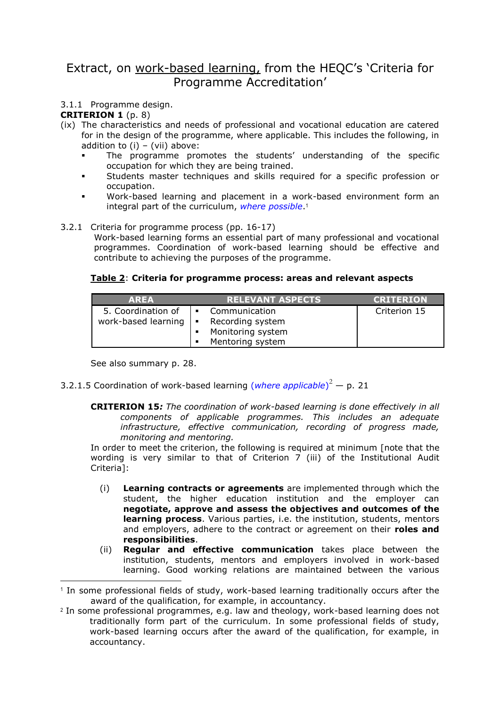# Extract, on work-based learning, from the HEQC's 'Criteria for Programme Accreditation'

### 3.1.1 Programme design.

#### **CRITERION 1** (p. 8)

- (ix) The characteristics and needs of professional and vocational education are catered for in the design of the programme, where applicable. This includes the following, in addition to  $(i) - (vii)$  above:
	- The programme promotes the students' understanding of the specific occupation for which they are being trained.
	- Students master techniques and skills required for a specific profession or occupation.
	- Work-based learning and placement in a work-based environment form an integral part of the curriculum, *where possible*. 1

#### 3.2.1 Criteria for programme process (pp. 16-17)

Work-based learning forms an essential part of many professional and vocational programmes. Coordination of work-based learning should be effective and contribute to achieving the purposes of the programme.

#### **Table 2**: **Criteria for programme process: areas and relevant aspects**

| <b>AREA</b>         |                        | <b>RELEVANT ASPECTS</b> | <b>CRITERION</b> |
|---------------------|------------------------|-------------------------|------------------|
| 5. Coordination of  | Communication<br>l e l |                         | Criterion 15     |
| work-based learning | $\blacksquare$         | Recording system        |                  |
|                     |                        | Monitoring system       |                  |
|                     |                        | Mentoring system        |                  |

See also summary p. 28.

-

## 3.2.1.5 Coordination of work-based learning (*where applicable*) <sup>2</sup> — p. 21

**CRITERION 15***: The coordination of work-based learning is done effectively in all components of applicable programmes. This includes an adequate infrastructure, effective communication, recording of progress made, monitoring and mentoring.*

In order to meet the criterion, the following is required at minimum [note that the wording is very similar to that of Criterion 7 (iii) of the Institutional Audit Criteria]:

- (i) **Learning contracts or agreements** are implemented through which the student, the higher education institution and the employer can **negotiate, approve and assess the objectives and outcomes of the learning process**. Various parties, i.e. the institution, students, mentors and employers, adhere to the contract or agreement on their **roles and responsibilities**.
- (ii) **Regular and effective communication** takes place between the institution, students, mentors and employers involved in work-based learning. Good working relations are maintained between the various

<sup>1</sup> In some professional fields of study, work-based learning traditionally occurs after the award of the qualification, for example, in accountancy.

<sup>2</sup> In some professional programmes, e.g. law and theology, work-based learning does not traditionally form part of the curriculum. In some professional fields of study, work-based learning occurs after the award of the qualification, for example, in accountancy.